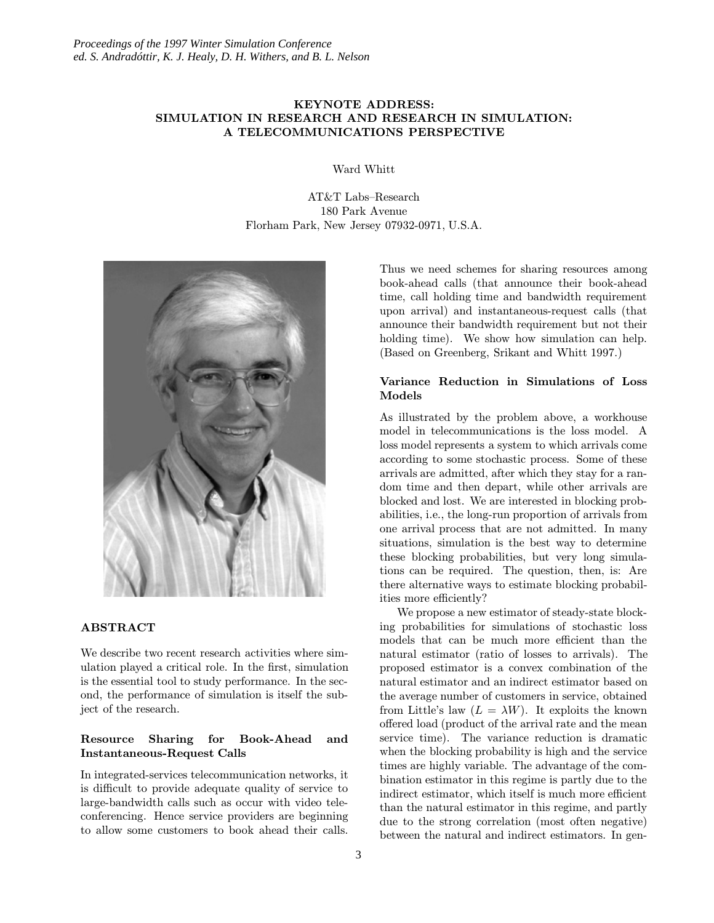# KEYNOTE ADDRESS: SIMULATION IN RESEARCH AND RESEARCH IN SIMULATION: A TELECOMMUNICATIONS PERSPECTIVE

Ward Whitt

AT&T Labs–Research 180 Park Avenue Florham Park, New Jersey 07932-0971, U.S.A.



# ABSTRACT

We describe two recent research activities where simulation played a critical role. In the first, simulation is the essential tool to study performance. In the second, the performance of simulation is itself the subject of the research.

# Resource Sharing for Book-Ahead and Instantaneous-Request Calls

In integrated-services telecommunication networks, it is difficult to provide adequate quality of service to large-bandwidth calls such as occur with video teleconferencing. Hence service providers are beginning to allow some customers to book ahead their calls.

Thus we need schemes for sharing resources among book-ahead calls (that announce their book-ahead time, call holding time and bandwidth requirement upon arrival) and instantaneous-request calls (that announce their bandwidth requirement but not their holding time). We show how simulation can help. (Based on Greenberg, Srikant and Whitt 1997.)

### Variance Reduction in Simulations of Loss Models

As illustrated by the problem above, a workhouse model in telecommunications is the loss model. A loss model represents a system to which arrivals come according to some stochastic process. Some of these arrivals are admitted, after which they stay for a random time and then depart, while other arrivals are blocked and lost. We are interested in blocking probabilities, i.e., the long-run proportion of arrivals from one arrival process that are not admitted. In many situations, simulation is the best way to determine these blocking probabilities, but very long simulations can be required. The question, then, is: Are there alternative ways to estimate blocking probabilities more efficiently?

We propose a new estimator of steady-state blocking probabilities for simulations of stochastic loss models that can be much more efficient than the natural estimator (ratio of losses to arrivals). The proposed estimator is a convex combination of the natural estimator and an indirect estimator based on the average number of customers in service, obtained from Little's law  $(L = \lambda W)$ . It exploits the known offered load (product of the arrival rate and the mean service time). The variance reduction is dramatic when the blocking probability is high and the service times are highly variable. The advantage of the combination estimator in this regime is partly due to the indirect estimator, which itself is much more efficient than the natural estimator in this regime, and partly due to the strong correlation (most often negative) between the natural and indirect estimators. In gen